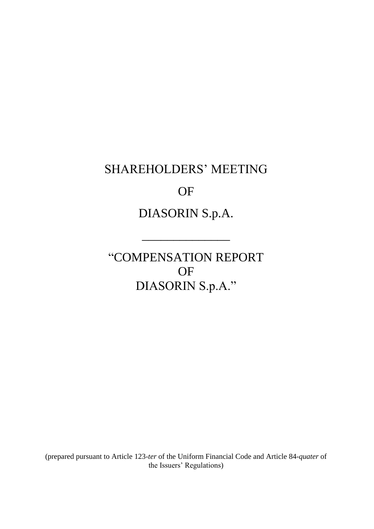# SHAREHOLDERS' MEETING

# OF

# DIASORIN S.p.A.

\_\_\_\_\_\_\_\_\_\_\_\_\_\_

"COMPENSATION REPORT OF DIASORIN S.p.A."

(prepared pursuant to Article 123-*ter* of the Uniform Financial Code and Article 84-*quater* of the Issuers' Regulations)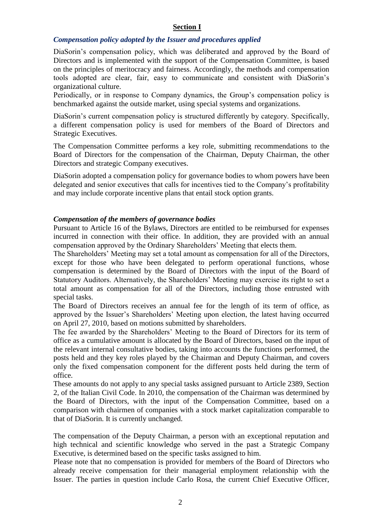#### **Section I**

#### *Compensation policy adopted by the Issuer and procedures applied*

DiaSorin's compensation policy, which was deliberated and approved by the Board of Directors and is implemented with the support of the Compensation Committee, is based on the principles of meritocracy and fairness. Accordingly, the methods and compensation tools adopted are clear, fair, easy to communicate and consistent with DiaSorin's organizational culture.

Periodically, or in response to Company dynamics, the Group's compensation policy is benchmarked against the outside market, using special systems and organizations.

DiaSorin's current compensation policy is structured differently by category. Specifically, a different compensation policy is used for members of the Board of Directors and Strategic Executives.

The Compensation Committee performs a key role, submitting recommendations to the Board of Directors for the compensation of the Chairman, Deputy Chairman, the other Directors and strategic Company executives.

DiaSorin adopted a compensation policy for governance bodies to whom powers have been delegated and senior executives that calls for incentives tied to the Company's profitability and may include corporate incentive plans that entail stock option grants.

#### *Compensation of the members of governance bodies*

Pursuant to Article 16 of the Bylaws, Directors are entitled to be reimbursed for expenses incurred in connection with their office. In addition, they are provided with an annual compensation approved by the Ordinary Shareholders' Meeting that elects them.

The Shareholders' Meeting may set a total amount as compensation for all of the Directors, except for those who have been delegated to perform operational functions, whose compensation is determined by the Board of Directors with the input of the Board of Statutory Auditors. Alternatively, the Shareholders' Meeting may exercise its right to set a total amount as compensation for all of the Directors, including those entrusted with special tasks.

The Board of Directors receives an annual fee for the length of its term of office, as approved by the Issuer's Shareholders' Meeting upon election, the latest having occurred on April 27, 2010, based on motions submitted by shareholders.

The fee awarded by the Shareholders' Meeting to the Board of Directors for its term of office as a cumulative amount is allocated by the Board of Directors, based on the input of the relevant internal consultative bodies, taking into accounts the functions performed, the posts held and they key roles played by the Chairman and Deputy Chairman, and covers only the fixed compensation component for the different posts held during the term of office.

These amounts do not apply to any special tasks assigned pursuant to Article 2389, Section 2, of the Italian Civil Code. In 2010, the compensation of the Chairman was determined by the Board of Directors, with the input of the Compensation Committee, based on a comparison with chairmen of companies with a stock market capitalization comparable to that of DiaSorin. It is currently unchanged.

The compensation of the Deputy Chairman, a person with an exceptional reputation and high technical and scientific knowledge who served in the past a Strategic Company Executive, is determined based on the specific tasks assigned to him.

Please note that no compensation is provided for members of the Board of Directors who already receive compensation for their managerial employment relationship with the Issuer. The parties in question include Carlo Rosa, the current Chief Executive Officer,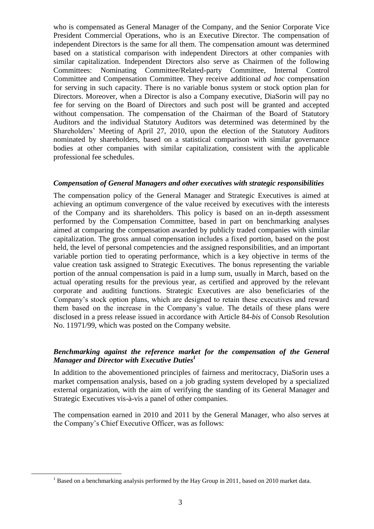who is compensated as General Manager of the Company, and the Senior Corporate Vice President Commercial Operations, who is an Executive Director. The compensation of independent Directors is the same for all them. The compensation amount was determined based on a statistical comparison with independent Directors at other companies with similar capitalization. Independent Directors also serve as Chairmen of the following Committees: Nominating Committee/Related-party Committee, Internal Control Committee and Compensation Committee. They receive additional *ad hoc* compensation for serving in such capacity. There is no variable bonus system or stock option plan for Directors. Moreover, when a Director is also a Company executive, DiaSorin will pay no fee for serving on the Board of Directors and such post will be granted and accepted without compensation. The compensation of the Chairman of the Board of Statutory Auditors and the individual Statutory Auditors was determined was determined by the Shareholders' Meeting of April 27, 2010, upon the election of the Statutory Auditors nominated by shareholders, based on a statistical comparison with similar governance bodies at other companies with similar capitalization, consistent with the applicable professional fee schedules.

#### *Compensation of General Managers and other executives with strategic responsibilities*

The compensation policy of the General Manager and Strategic Executives is aimed at achieving an optimum convergence of the value received by executives with the interests of the Company and its shareholders. This policy is based on an in-depth assessment performed by the Compensation Committee, based in part on benchmarking analyses aimed at comparing the compensation awarded by publicly traded companies with similar capitalization. The gross annual compensation includes a fixed portion, based on the post held, the level of personal competencies and the assigned responsibilities, and an important variable portion tied to operating performance, which is a key objective in terms of the value creation task assigned to Strategic Executives. The bonus representing the variable portion of the annual compensation is paid in a lump sum, usually in March, based on the actual operating results for the previous year, as certified and approved by the relevant corporate and auditing functions. Strategic Executives are also beneficiaries of the Company's stock option plans, which are designed to retain these executives and reward them based on the increase in the Company's value. The details of these plans were disclosed in a press release issued in accordance with Article 84-*bis* of Consob Resolution No. 11971/99, which was posted on the Company website.

#### *Benchmarking against the reference market for the compensation of the General Manager and Director with Executive Duties<sup>1</sup>*

In addition to the abovementioned principles of fairness and meritocracy, DiaSorin uses a market compensation analysis, based on a job grading system developed by a specialized external organization, with the aim of verifying the standing of its General Manager and Strategic Executives vis-à-vis a panel of other companies.

The compensation earned in 2010 and 2011 by the General Manager, who also serves at the Company's Chief Executive Officer, was as follows:

 $\overline{a}$ 

 $1$  Based on a benchmarking analysis performed by the Hay Group in 2011, based on 2010 market data.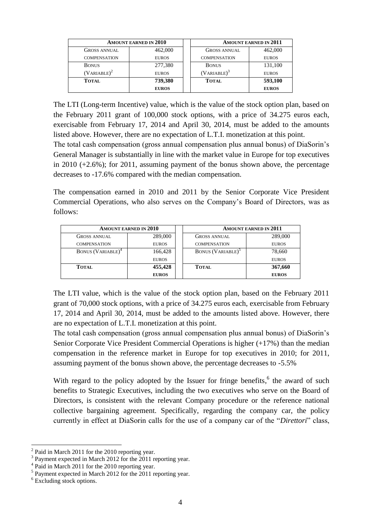|                     | <b>AMOUNT EARNED IN 2010</b> | <b>AMOUNT EARNED IN 2011</b> |              |  |
|---------------------|------------------------------|------------------------------|--------------|--|
| <b>GROSS ANNUAL</b> | 462,000                      | <b>GROSS ANNUAL</b>          | 462,000      |  |
| <b>COMPENSATION</b> | <b>EUROS</b>                 | <b>COMPENSATION</b>          | <b>EUROS</b> |  |
| <b>BONUS</b>        | 277,380                      | <b>BONUS</b>                 | 131,100      |  |
| $(VARIABLE)^2$      | <b>EUROS</b>                 | $(VARIABLE)^3$               | <b>EUROS</b> |  |
| <b>TOTAL</b>        | 739,380                      | <b>TOTAL</b>                 | 593,100      |  |
|                     | <b>EUROS</b>                 | <b>EUROS</b>                 |              |  |

The LTI (Long-term Incentive) value, which is the value of the stock option plan, based on the February 2011 grant of 100,000 stock options, with a price of 34.275 euros each, exercisable from February 17, 2014 and April 30, 2014, must be added to the amounts listed above. However, there are no expectation of L.T.I. monetization at this point.

The total cash compensation (gross annual compensation plus annual bonus) of DiaSorin's General Manager is substantially in line with the market value in Europe for top executives in 2010 (+2.6%); for 2011, assuming payment of the bonus shown above, the percentage decreases to -17.6% compared with the median compensation.

The compensation earned in 2010 and 2011 by the Senior Corporate Vice President Commercial Operations, who also serves on the Company's Board of Directors, was as follows:

|                               | <b>AMOUNT EARNED IN 2010</b> |                               | <b>AMOUNT EARNED IN 2011</b> |  |  |
|-------------------------------|------------------------------|-------------------------------|------------------------------|--|--|
| GROSS ANNUAL                  | 289,000                      | <b>GROSS ANNUAL</b>           | 289,000                      |  |  |
| <b>COMPENSATION</b>           | <b>EUROS</b>                 | <b>COMPENSATION</b>           | <b>EUROS</b>                 |  |  |
| BONUS (VARIABLE) <sup>4</sup> | 166,428                      | BONUS (VARIABLE) <sup>5</sup> | 78,660                       |  |  |
|                               | <b>EUROS</b>                 |                               | <b>EUROS</b>                 |  |  |
| <b>TOTAL</b>                  | 455,428                      | <b>TOTAL</b>                  | 367,660                      |  |  |
|                               | <b>EUROS</b>                 |                               | <b>EUROS</b>                 |  |  |

The LTI value, which is the value of the stock option plan, based on the February 2011 grant of 70,000 stock options, with a price of 34.275 euros each, exercisable from February 17, 2014 and April 30, 2014, must be added to the amounts listed above. However, there are no expectation of L.T.I. monetization at this point.

The total cash compensation (gross annual compensation plus annual bonus) of DiaSorin's Senior Corporate Vice President Commercial Operations is higher (+17%) than the median compensation in the reference market in Europe for top executives in 2010; for 2011, assuming payment of the bonus shown above, the percentage decreases to -5.5%

With regard to the policy adopted by the Issuer for fringe benefits, $6$  the award of such benefits to Strategic Executives, including the two executives who serve on the Board of Directors, is consistent with the relevant Company procedure or the reference national collective bargaining agreement. Specifically, regarding the company car, the policy currently in effect at DiaSorin calls for the use of a company car of the "*Direttori*" class,

 $2$  Paid in March 2011 for the 2010 reporting year.

<sup>&</sup>lt;sup>3</sup> Payment expected in March 2012 for the 2011 reporting year.

<sup>&</sup>lt;sup>4</sup> Paid in March 2011 for the 2010 reporting year.

<sup>&</sup>lt;sup>5</sup> Payment expected in March 2012 for the 2011 reporting year.

<sup>&</sup>lt;sup>6</sup> Excluding stock options.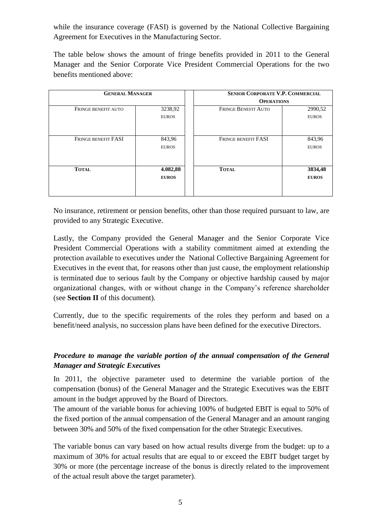while the insurance coverage (FASI) is governed by the National Collective Bargaining Agreement for Executives in the Manufacturing Sector.

The table below shows the amount of fringe benefits provided in 2011 to the General Manager and the Senior Corporate Vice President Commercial Operations for the two benefits mentioned above:

| <b>GENERAL MANAGER</b>     |                          | <b>SENIOR CORPORATE V.P. COMMERCIAL</b><br><b>OPERATIONS</b> |                         |  |  |  |
|----------------------------|--------------------------|--------------------------------------------------------------|-------------------------|--|--|--|
| FRINGE BENEFIT AUTO        | 3238,92<br><b>EUROS</b>  | <b>FRINGE BENEFIT AUTO</b>                                   | 2990,52<br><b>EUROS</b> |  |  |  |
| <b>FRINGE BENEFIT FASI</b> | 843,96<br><b>EUROS</b>   | <b>FRINGE BENEFIT FASI</b>                                   | 843,96<br><b>EUROS</b>  |  |  |  |
| <b>TOTAL</b>               | 4.082,88<br><b>EUROS</b> | <b>TOTAL</b>                                                 | 3834,48<br><b>EUROS</b> |  |  |  |

No insurance, retirement or pension benefits, other than those required pursuant to law, are provided to any Strategic Executive.

Lastly, the Company provided the General Manager and the Senior Corporate Vice President Commercial Operations with a stability commitment aimed at extending the protection available to executives under the National Collective Bargaining Agreement for Executives in the event that, for reasons other than just cause, the employment relationship is terminated due to serious fault by the Company or objective hardship caused by major organizational changes, with or without change in the Company's reference shareholder (see **Section II** of this document).

Currently, due to the specific requirements of the roles they perform and based on a benefit/need analysis, no succession plans have been defined for the executive Directors.

### *Procedure to manage the variable portion of the annual compensation of the General Manager and Strategic Executives*

In 2011, the objective parameter used to determine the variable portion of the compensation (bonus) of the General Manager and the Strategic Executives was the EBIT amount in the budget approved by the Board of Directors.

The amount of the variable bonus for achieving 100% of budgeted EBIT is equal to 50% of the fixed portion of the annual compensation of the General Manager and an amount ranging between 30% and 50% of the fixed compensation for the other Strategic Executives.

The variable bonus can vary based on how actual results diverge from the budget: up to a maximum of 30% for actual results that are equal to or exceed the EBIT budget target by 30% or more (the percentage increase of the bonus is directly related to the improvement of the actual result above the target parameter).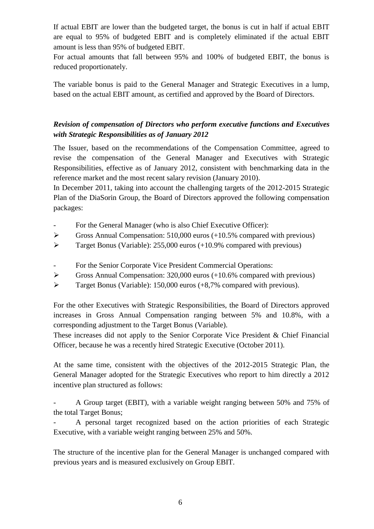If actual EBIT are lower than the budgeted target, the bonus is cut in half if actual EBIT are equal to 95% of budgeted EBIT and is completely eliminated if the actual EBIT amount is less than 95% of budgeted EBIT.

For actual amounts that fall between 95% and 100% of budgeted EBIT, the bonus is reduced proportionately.

The variable bonus is paid to the General Manager and Strategic Executives in a lump, based on the actual EBIT amount, as certified and approved by the Board of Directors.

## *Revision of compensation of Directors who perform executive functions and Executives with Strategic Responsibilities as of January 2012*

The Issuer, based on the recommendations of the Compensation Committee, agreed to revise the compensation of the General Manager and Executives with Strategic Responsibilities, effective as of January 2012, consistent with benchmarking data in the reference market and the most recent salary revision (January 2010).

In December 2011, taking into account the challenging targets of the 2012-2015 Strategic Plan of the DiaSorin Group, the Board of Directors approved the following compensation packages:

- For the General Manager (who is also Chief Executive Officer):
- $\triangleright$  Gross Annual Compensation: 510,000 euros (+10.5% compared with previous)
- $\triangleright$  Target Bonus (Variable): 255,000 euros (+10.9% compared with previous)
- For the Senior Corporate Vice President Commercial Operations:
- $\triangleright$  Gross Annual Compensation: 320,000 euros (+10.6% compared with previous)
- $\triangleright$  Target Bonus (Variable): 150,000 euros (+8,7% compared with previous).

For the other Executives with Strategic Responsibilities, the Board of Directors approved increases in Gross Annual Compensation ranging between 5% and 10.8%, with a corresponding adjustment to the Target Bonus (Variable).

These increases did not apply to the Senior Corporate Vice President & Chief Financial Officer, because he was a recently hired Strategic Executive (October 2011).

At the same time, consistent with the objectives of the 2012-2015 Strategic Plan, the General Manager adopted for the Strategic Executives who report to him directly a 2012 incentive plan structured as follows:

- A Group target (EBIT), with a variable weight ranging between 50% and 75% of the total Target Bonus;

- A personal target recognized based on the action priorities of each Strategic Executive, with a variable weight ranging between 25% and 50%.

The structure of the incentive plan for the General Manager is unchanged compared with previous years and is measured exclusively on Group EBIT.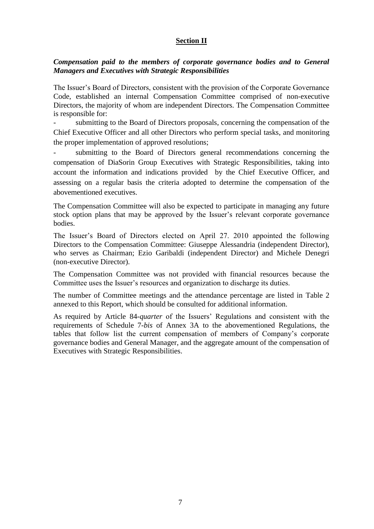#### **Section II**

#### *Compensation paid to the members of corporate governance bodies and to General Managers and Executives with Strategic Responsibilities*

The Issuer's Board of Directors, consistent with the provision of the Corporate Governance Code, established an internal Compensation Committee comprised of non-executive Directors, the majority of whom are independent Directors. The Compensation Committee is responsible for:

submitting to the Board of Directors proposals, concerning the compensation of the Chief Executive Officer and all other Directors who perform special tasks, and monitoring the proper implementation of approved resolutions;

submitting to the Board of Directors general recommendations concerning the compensation of DiaSorin Group Executives with Strategic Responsibilities, taking into account the information and indications provided by the Chief Executive Officer, and assessing on a regular basis the criteria adopted to determine the compensation of the abovementioned executives.

The Compensation Committee will also be expected to participate in managing any future stock option plans that may be approved by the Issuer's relevant corporate governance bodies.

The Issuer's Board of Directors elected on April 27. 2010 appointed the following Directors to the Compensation Committee: Giuseppe Alessandria (independent Director), who serves as Chairman; Ezio Garibaldi (independent Director) and Michele Denegri (non-executive Director).

The Compensation Committee was not provided with financial resources because the Committee uses the Issuer's resources and organization to discharge its duties.

The number of Committee meetings and the attendance percentage are listed in Table 2 annexed to this Report, which should be consulted for additional information.

As required by Article 84-*quarter* of the Issuers' Regulations and consistent with the requirements of Schedule 7-*bis* of Annex 3A to the abovementioned Regulations, the tables that follow list the current compensation of members of Company's corporate governance bodies and General Manager, and the aggregate amount of the compensation of Executives with Strategic Responsibilities.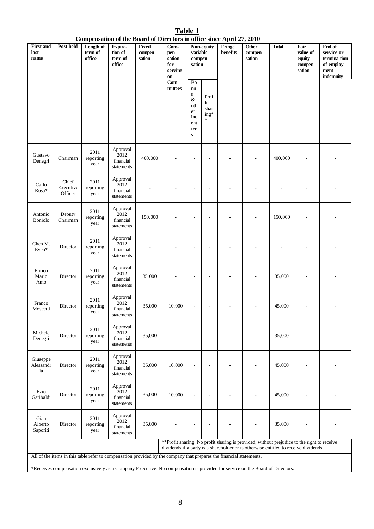**Table 1 Compensation of the Board of Directors in office since April 27, 2010**

| <b>First and</b><br>last<br>name | Post held                     | Length of<br>term of<br>office | Expira-<br>tion of<br>term of<br>office                                                                                       | Fixed<br>compen-<br>sation | Com-<br>pen-<br>sation<br>for<br>serving<br>on | variable<br>compen-<br>sation                                                      | Non-equity                             | Fringe<br>benefits | ----<br><b>Other</b><br>compen-<br>sation                                                                                                                                           | <b>Total</b> | Fair<br>value of<br>equity<br>compen-<br>sation | End of<br>service or<br>termina-tion<br>of employ-<br>ment<br>indemnity |
|----------------------------------|-------------------------------|--------------------------------|-------------------------------------------------------------------------------------------------------------------------------|----------------------------|------------------------------------------------|------------------------------------------------------------------------------------|----------------------------------------|--------------------|-------------------------------------------------------------------------------------------------------------------------------------------------------------------------------------|--------------|-------------------------------------------------|-------------------------------------------------------------------------|
|                                  |                               |                                |                                                                                                                               |                            | Com-<br>mittees                                | Bo<br>nu<br>${\bf S}$<br>$\&$<br>oth<br>$\rm er$<br>inc<br>ent<br>ive<br>${\bf S}$ | Prof<br>it<br>shar<br>$ing*$<br>$\ast$ |                    |                                                                                                                                                                                     |              |                                                 |                                                                         |
| Gustavo<br>Denegri               | Chairman                      | 2011<br>reporting<br>year      | Approval<br>2012<br>financial<br>statements                                                                                   | 400,000                    |                                                | $\overline{a}$                                                                     |                                        |                    |                                                                                                                                                                                     | 400,000      |                                                 |                                                                         |
| Carlo<br>Rosa*                   | Chief<br>Executive<br>Officer | 2011<br>reporting<br>year      | Approval<br>2012<br>financial<br>statements                                                                                   |                            |                                                | L,                                                                                 |                                        |                    |                                                                                                                                                                                     |              |                                                 |                                                                         |
| Antonio<br>Boniolo               | Deputy<br>Chairman            | 2011<br>reporting<br>year      | Approval<br>2012<br>financial<br>statements                                                                                   | 150,000                    |                                                | ۰                                                                                  |                                        |                    |                                                                                                                                                                                     | 150,000      |                                                 |                                                                         |
| Chen M.<br>Even*                 | Director                      | 2011<br>reporting<br>year      | Approval<br>2012<br>financial<br>statements                                                                                   |                            |                                                | ÷,                                                                                 |                                        |                    |                                                                                                                                                                                     |              |                                                 |                                                                         |
| Enrico<br>Mario<br>Amo           | Director                      | 2011<br>reporting<br>year      | Approval<br>2012<br>financial<br>statements                                                                                   | 35,000                     |                                                | ۰                                                                                  |                                        |                    |                                                                                                                                                                                     | 35,000       |                                                 |                                                                         |
| Franco<br>Moscetti               | Director                      | 2011<br>reporting<br>year      | Approval<br>2012<br>financial<br>statements                                                                                   | 35,000                     | 10,000                                         | $\overline{a}$                                                                     |                                        |                    |                                                                                                                                                                                     | 45,000       |                                                 |                                                                         |
| Michele<br>Denegri               | Director                      | 2011<br>reporting<br>year      | Approval<br>2012<br>financial<br>statements                                                                                   | 35,000                     |                                                | $\overline{\phantom{a}}$                                                           |                                        |                    |                                                                                                                                                                                     | 35,000       |                                                 |                                                                         |
| Giuseppe<br>Alessandr<br>ia      | Director                      | 2011<br>reporting<br>year      | Approval<br>2012<br>financial<br>statements                                                                                   | 35,000                     | 10,000                                         |                                                                                    |                                        |                    |                                                                                                                                                                                     | 45,000       |                                                 |                                                                         |
| Ezio<br>Garibaldi                | Director                      | 2011<br>reporting<br>year      | Approval<br>2012<br>financial<br>statements                                                                                   | 35,000                     | 10,000                                         | ÷,                                                                                 |                                        |                    |                                                                                                                                                                                     | 45,000       |                                                 |                                                                         |
| Gian<br>Alberto<br>Saporiti      | Director                      | 2011<br>reporting<br>year      | Approval<br>2012<br>financial<br>statements                                                                                   | 35,000                     |                                                | $\overline{a}$                                                                     |                                        |                    |                                                                                                                                                                                     | 35,000       |                                                 |                                                                         |
|                                  |                               |                                |                                                                                                                               |                            |                                                |                                                                                    |                                        |                    | ** Profit sharing: No profit sharing is provided, without prejudice to the right to receive<br>dividends if a party is a shareholder or is otherwise entitled to receive dividends. |              |                                                 |                                                                         |
|                                  |                               |                                | All of the items in this table refer to compensation provided by the company that prepares the financial statements.          |                            |                                                |                                                                                    |                                        |                    |                                                                                                                                                                                     |              |                                                 |                                                                         |
|                                  |                               |                                | *Receives compensation exclusively as a Company Executive. No compensation is provided for service on the Board of Directors. |                            |                                                |                                                                                    |                                        |                    |                                                                                                                                                                                     |              |                                                 |                                                                         |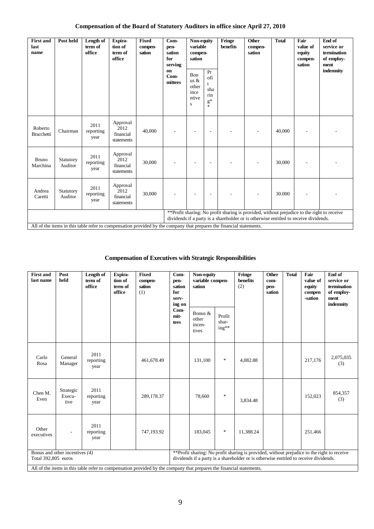### **Compensation of the Board of Statutory Auditors in office since April 27, 2010**

| <b>First and</b><br>last<br>name | Post held            | Length of<br>term of<br>office | Expira-<br>tion of<br>term of<br>office                                                                              | <b>Fixed</b><br>compen-<br>sation | Com-<br>pen-<br>sation<br>for<br>serving | Non-equity<br>variable<br>compen-<br>sation         |                                  | Fringe<br>benefits                                                                                                                                                                  | <b>Other</b><br>compen-<br>sation | <b>Total</b> | Fair<br>value of<br>equity<br>compen-<br>sation | End of<br>service or<br>termination<br>of employ-<br>ment |
|----------------------------------|----------------------|--------------------------------|----------------------------------------------------------------------------------------------------------------------|-----------------------------------|------------------------------------------|-----------------------------------------------------|----------------------------------|-------------------------------------------------------------------------------------------------------------------------------------------------------------------------------------|-----------------------------------|--------------|-------------------------------------------------|-----------------------------------------------------------|
|                                  |                      |                                |                                                                                                                      |                                   | on<br>Com-<br>mittees                    | Bon<br>us $\&$<br>other<br>ince<br>ntive<br>$\bf S$ | Pr<br>ofi<br>sha<br>rin<br>$g^*$ |                                                                                                                                                                                     |                                   |              |                                                 | indemnity                                                 |
| Roberto<br><b>Bracchetti</b>     | Chairman             | 2011<br>reporting<br>year      | Approval<br>2012<br>financial<br>statements                                                                          | 40,000                            |                                          |                                                     | ٠                                |                                                                                                                                                                                     |                                   | 40,000       |                                                 |                                                           |
| <b>Bruno</b><br>Marchina         | Statutory<br>Auditor | 2011<br>reporting<br>year      | Approval<br>2012<br>financial<br>statements                                                                          | 30,000                            |                                          |                                                     | ٠                                |                                                                                                                                                                                     |                                   | 30,000       |                                                 |                                                           |
| Andrea<br>Caretti                | Statutory<br>Auditor | 2011<br>reporting<br>year      | Approval<br>2012<br>financial<br>statements                                                                          | 30,000                            |                                          |                                                     | ٠                                |                                                                                                                                                                                     |                                   | 30.000       |                                                 |                                                           |
|                                  |                      |                                |                                                                                                                      |                                   |                                          |                                                     |                                  | ** Profit sharing: No profit sharing is provided, without prejudice to the right to receive<br>dividends if a party is a shareholder or is otherwise entitled to receive dividends. |                                   |              |                                                 |                                                           |
|                                  |                      |                                | All of the items in this table refer to compensation provided by the company that prepares the financial statements. |                                   |                                          |                                                     |                                  |                                                                                                                                                                                     |                                   |              |                                                 |                                                           |

#### **Compensation of Executives with Strategic Responsibilities**

| <b>First and</b><br>last name                         | Post<br>held                | Length of<br>term of<br>office | Expira-<br>tion of<br>term of<br>office | <b>Fixed</b><br>compen-<br>sation<br>(1)                                                                                                                                            | Com-<br>Non-equity<br>variable compen-<br>pen-<br>sation<br>sation<br>for<br>serv-<br>ing on |                          |        | Fringe<br>benefits<br>(2) | Other<br>com-<br>pen-<br>sation | <b>Total</b> | Fair<br>value of<br>equity<br>compen<br>-sation | End of<br>service or<br>termination<br>of employ-<br>ment<br>indemnity |
|-------------------------------------------------------|-----------------------------|--------------------------------|-----------------------------------------|-------------------------------------------------------------------------------------------------------------------------------------------------------------------------------------|----------------------------------------------------------------------------------------------|--------------------------|--------|---------------------------|---------------------------------|--------------|-------------------------------------------------|------------------------------------------------------------------------|
|                                                       |                             |                                |                                         |                                                                                                                                                                                     | Com-<br>Bonus &<br>mit-<br>other<br>tees<br>incen-<br>tives                                  | Profit<br>shar-<br>ing** |        |                           |                                 |              |                                                 |                                                                        |
| Carlo<br>Rosa                                         | General<br>Manager          | 2011<br>reporting<br>year      |                                         | 461,678.49                                                                                                                                                                          |                                                                                              | 131,100                  | $\ast$ | 4,082.88                  |                                 |              | 217,176                                         | 2,075,035<br>(3)                                                       |
| Chen M.<br>Even                                       | Strategic<br>Execu-<br>tive | 2011<br>reporting<br>year      |                                         | 289,178.37                                                                                                                                                                          |                                                                                              | 78,660                   | $\ast$ | 3,834.48                  |                                 |              | 152,023                                         | 854,357<br>(3)                                                         |
| Other<br>executives                                   |                             | 2011<br>reporting<br>year      |                                         | 747,193.92                                                                                                                                                                          |                                                                                              | 183,045                  | $\ast$ | 11,388.24                 |                                 |              | 251,466                                         |                                                                        |
| Bonus and other incentives (4)<br>Total 392,805 euros |                             |                                |                                         | ** Profit sharing: No profit sharing is provided, without prejudice to the right to receive<br>dividends if a party is a shareholder or is otherwise entitled to receive dividends. |                                                                                              |                          |        |                           |                                 |              |                                                 |                                                                        |
|                                                       |                             |                                |                                         | All of the items in this table refer to compensation provided by the company that prepares the financial statements.                                                                |                                                                                              |                          |        |                           |                                 |              |                                                 |                                                                        |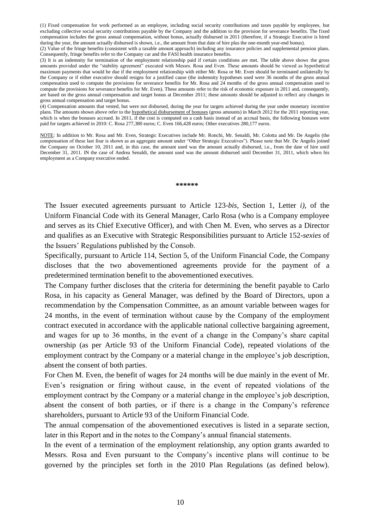(1) Fixed compensation for work performed as an employee, including social security contributions and taxes payable by employees, but excluding collective social security contributions payable by the Company and the addition to the provision for severance benefits. The fixed compensation includes the gross annual compensation, without bonus, actually disbursed in 2011 (therefore, if a Strategic Executive is hired during the year, the amount actually disbursed is shown, i.e., the amount from that date of hire plus the one-month year-end bonus).

(2) Value of the fringe benefits (consistent with a taxable amount approach) including any insurance policies and supplemental pension plans. Consequently, fringe benefits refer to the Company car and the FASI health insurance benefits.

(3) It is an indemnity for termination of the employment relationship paid if certain conditions are met. The table above shows the gross amounts provided under the "stability agreement" executed with Messrs. Rosa and Even. These amounts should be viewed as hypothetical maximum payments that would be due if the employment relationship with either Mr. Rosa or Mr. Even should be terminated unilaterally by the Company or if either executive should resigns for a justified cause (the indemnity hypotheses used were 36 months of the gross annual compensation used to compute the provisions for severance benefits for Mr. Rosa and 24 months of the gross annual compensation used to compute the provisions for severance benefits for Mr. Even). These amounts refer to the risk of economic exposure in 2011 and, consequently, are based on the gross annual compensation and target bonus at December 2011; these amounts should be adjusted to reflect any changes in gross annual compensation and target bonus.

(4) Compensation amounts that vested, but were not disbursed, during the year for targets achieved during the year under monetary incentive plans. The amounts shown above refer to the hypothetical disbursement of bonuses (gross amounts) in March 2012 for the 2011 reporting year, which is when the bonuses accrued. In 2011, if the cost is computed on a cash basis instead of an accrual basis, the following bonuses were paid for targets achieved in 2010: C. Rosa 277,380 euros; C. Even 166,428 euros; Other executives 280,177 euros.

NOTE: In addition to Mr. Rosa and Mr. Even, Strategic Executives include Mr. Ronchi, Mr. Senaldi, Mr. Colotta and Mr. De Angelis (the compensation of these last four is shown as an aggregate amount under "Other Strategic Executives"). Please note that Mr. De Angelis joined the Company on October 10, 2011 and, in this case, the amount used was the amount actually disbursed, i.e., from the date of hire until December 31, 2011. IN the case of Andrea Senaldi, the amount used was the amount disbursed until December 31, 2011, which when his employment as a Company executive ended.

**\*\*\*\*\*\***

The Issuer executed agreements pursuant to Article 123*-bis*, Section 1, Letter *i),* of the Uniform Financial Code with its General Manager, Carlo Rosa (who is a Company employee and serves as its Chief Executive Officer), and with Chen M. Even, who serves as a Director and qualifies as an Executive with Strategic Responsibilities pursuant to Article 152-*sexies* of the Issuers' Regulations published by the Consob.

Specifically, pursuant to Article 114, Section 5, of the Uniform Financial Code, the Company discloses that the two abovementioned agreements provide for the payment of a predetermined termination benefit to the abovementioned executives.

The Company further discloses that the criteria for determining the benefit payable to Carlo Rosa, in his capacity as General Manager, was defined by the Board of Directors, upon a recommendation by the Compensation Committee, as an amount variable between wages for 24 months, in the event of termination without cause by the Company of the employment contract executed in accordance with the applicable national collective bargaining agreement, and wages for up to 36 months, in the event of a change in the Company's share capital ownership (as per Article 93 of the Uniform Financial Code), repeated violations of the employment contract by the Company or a material change in the employee's job description, absent the consent of both parties.

For Chen M. Even, the benefit of wages for 24 months will be due mainly in the event of Mr. Even's resignation or firing without cause, in the event of repeated violations of the employment contract by the Company or a material change in the employee's job description, absent the consent of both parties, or if there is a change in the Company's reference shareholders, pursuant to Article 93 of the Uniform Financial Code.

The annual compensation of the abovementioned executives is listed in a separate section, later in this Report and in the notes to the Company's annual financial statements.

In the event of a termination of the employment relationship, any option grants awarded to Messrs. Rosa and Even pursuant to the Company's incentive plans will continue to be governed by the principles set forth in the 2010 Plan Regulations (as defined below).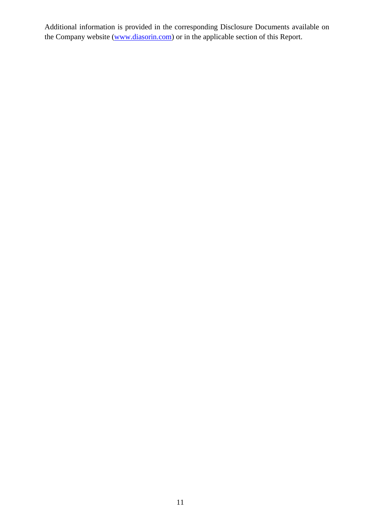Additional information is provided in the corresponding Disclosure Documents available on the Company website [\(www.diasorin.com\)](http://www.diasorin.com/) or in the applicable section of this Report.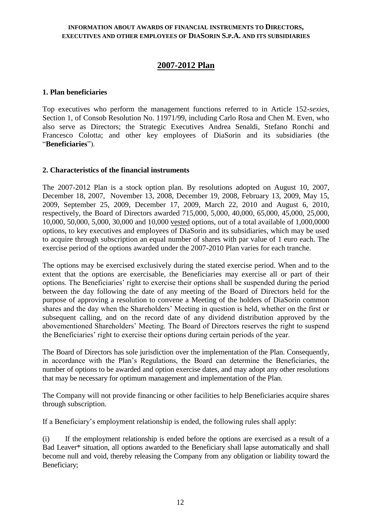#### **INFORMATION ABOUT AWARDS OF FINANCIAL INSTRUMENTS TO DIRECTORS, EXECUTIVES AND OTHER EMPLOYEES OF DIASORIN S.P.A. AND ITS SUBSIDIARIES**

## **2007-2012 Plan**

#### **1. Plan beneficiaries**

Top executives who perform the management functions referred to in Article 152-*sexies*, Section 1, of Consob Resolution No. 11971/99, including Carlo Rosa and Chen M. Even, who also serve as Directors; the Strategic Executives Andrea Senaldi, Stefano Ronchi and Francesco Colotta; and other key employees of DiaSorin and its subsidiaries (the "**Beneficiaries**").

#### **2. Characteristics of the financial instruments**

The 2007-2012 Plan is a stock option plan. By resolutions adopted on August 10, 2007, December 18, 2007, November 13, 2008, December 19, 2008, February 13, 2009, May 15, 2009, September 25, 2009, December 17, 2009, March 22, 2010 and August 6, 2010, respectively, the Board of Directors awarded 715,000, 5,000, 40,000, 65,000, 45,000, 25,000, 10,000, 50,000, 5,000, 30,000 and 10,000 vested options, out of a total available of 1,000,0000 options, to key executives and employees of DiaSorin and its subsidiaries, which may be used to acquire through subscription an equal number of shares with par value of 1 euro each. The exercise period of the options awarded under the 2007-2010 Plan varies for each tranche.

The options may be exercised exclusively during the stated exercise period. When and to the extent that the options are exercisable, the Beneficiaries may exercise all or part of their options. The Beneficiaries' right to exercise their options shall be suspended during the period between the day following the date of any meeting of the Board of Directors held for the purpose of approving a resolution to convene a Meeting of the holders of DiaSorin common shares and the day when the Shareholders' Meeting in question is held, whether on the first or subsequent calling, and on the record date of any dividend distribution approved by the abovementioned Shareholders' Meeting. The Board of Directors reserves the right to suspend the Beneficiaries' right to exercise their options during certain periods of the year.

The Board of Directors has sole jurisdiction over the implementation of the Plan. Consequently, in accordance with the Plan's Regulations, the Board can determine the Beneficiaries, the number of options to be awarded and option exercise dates, and may adopt any other resolutions that may be necessary for optimum management and implementation of the Plan.

The Company will not provide financing or other facilities to help Beneficiaries acquire shares through subscription.

If a Beneficiary's employment relationship is ended, the following rules shall apply:

(i) If the employment relationship is ended before the options are exercised as a result of a Bad Leaver\* situation, all options awarded to the Beneficiary shall lapse automatically and shall become null and void, thereby releasing the Company from any obligation or liability toward the Beneficiary;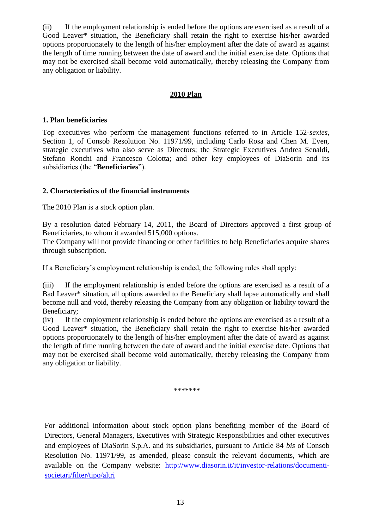(ii) If the employment relationship is ended before the options are exercised as a result of a Good Leaver\* situation, the Beneficiary shall retain the right to exercise his/her awarded options proportionately to the length of his/her employment after the date of award as against the length of time running between the date of award and the initial exercise date. Options that may not be exercised shall become void automatically, thereby releasing the Company from any obligation or liability.

#### **2010 Plan**

#### **1. Plan beneficiaries**

Top executives who perform the management functions referred to in Article 152-*sexies*, Section 1, of Consob Resolution No. 11971/99, including Carlo Rosa and Chen M. Even, strategic executives who also serve as Directors; the Strategic Executives Andrea Senaldi, Stefano Ronchi and Francesco Colotta; and other key employees of DiaSorin and its subsidiaries (the "**Beneficiaries**").

#### **2. Characteristics of the financial instruments**

The 2010 Plan is a stock option plan.

By a resolution dated February 14, 2011, the Board of Directors approved a first group of Beneficiaries, to whom it awarded 515,000 options.

The Company will not provide financing or other facilities to help Beneficiaries acquire shares through subscription.

If a Beneficiary's employment relationship is ended, the following rules shall apply:

(iii) If the employment relationship is ended before the options are exercised as a result of a Bad Leaver\* situation, all options awarded to the Beneficiary shall lapse automatically and shall become null and void, thereby releasing the Company from any obligation or liability toward the Beneficiary;

(iv) If the employment relationship is ended before the options are exercised as a result of a Good Leaver\* situation, the Beneficiary shall retain the right to exercise his/her awarded options proportionately to the length of his/her employment after the date of award as against the length of time running between the date of award and the initial exercise date. Options that may not be exercised shall become void automatically, thereby releasing the Company from any obligation or liability.

\*\*\*\*\*\*\*

For additional information about stock option plans benefiting member of the Board of Directors, General Managers, Executives with Strategic Responsibilities and other executives and employees of DiaSorin S.p.A. and its subsidiaries, pursuant to Article 84 *bis* of Consob Resolution No. 11971/99, as amended, please consult the relevant documents, which are available on the Company website: [http://www.diasorin.it/it/investor-relations/documenti](http://www.diasorin.it/it/investor-relations/documenti-societari/filter/tipo/altri)[societari/filter/tipo/altri](http://www.diasorin.it/it/investor-relations/documenti-societari/filter/tipo/altri)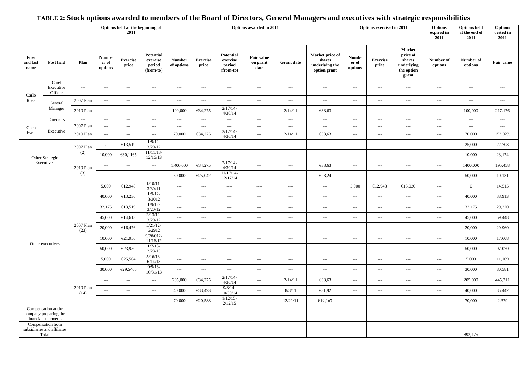#### **Options held at the beginning of 2011 Options awarded in 2011 Options exercised in 2011 Options expired in 2011 Options held at the end of 2011 Options vested in 2011 First and last name Post held Plan Number of options Exercise price Potential exercise period (from-to) Number of options Exercise price Potential exercise period (from-to) Fair value on grant date Grant date Market price of shares underlying the option grant Number of options Exercise price Market price of shares underlying the option grant Number of options Number of b Fair value**<br>**Fair value** Carlo Rosa Chief Executive **Officer** --- --- --- --- --- --- --- --- --- --- --- --- --- --- --- --- General Manager 2007 Plan | --- | --- | --- | --- | --- | --- | --- | --- | --- | --- | --- | --- | --- | --- | ---2010 Plan ---  $\begin{vmatrix} -1 & 0 & 0 & 0 \\ 0 & -1 & 0 & 0 \\ 0 & 0 & 0 & 0 \end{vmatrix}$   $\in \{34, 275 \begin{vmatrix} 2/17/14 & 2/17/14 \\ 0 & 2/17/14 \end{vmatrix}$  $4/30/14$  ---  $2/14/11$   $\leftarrow$   $\leftarrow$  33,63 ---  $\leftarrow$  ---  $\leftarrow$  ---  $\leftarrow$  100,000 217.176 Chen Even Directors | --- | --- | --- | --- | --- | --- | --- | --- | --- | --- | --- | --- | --- | --- | --- | --- | --Executive 2007 Plan | --- | --- | --- | --- | --- | --- | --- | --- | --- | --- | --- | --- | --- | --- | ---2010 Plan ---  $\begin{vmatrix} -1.2 & -1.3 & -1.4 \\ -1.2 & -1.4 & -1.4 \end{vmatrix}$  ---  $\begin{vmatrix} 70,000 & 634,275 \\ 634,275 & 4/20/14 \end{vmatrix}$  $4/30/14$  ---  $2/14/11$   $633.63$  ---  $-$  ---  $-$  ---  $70,000$  152.023. Other Strategic Executives 2007 Plan (2)  $\epsilon$ 13,519 1/9/12- $\frac{3/20/12}{11/11/13}$ --- | --- | --- | --- | --- | --- | --- | --- | --- | --- | --- | 25,000 | 22,703  $10,000$   $\left\{\n\begin{array}{ccc}\n630,1165 \\
12/16/13\n\end{array}\n\right\}$ 12/16/13 --- --- --- --- --- --- --- --- --- --- 10,000 23,174 2010 Plan (3)  $-$  ---  $-$  1,400,000  $\epsilon$ 34,275  $^{2/17/14}$  $4/30/14$  ---  $\left[\begin{array}{ccc} -1/1/14^{2} & -1/1400,000 \end{array}\right]$  ---  $\left[\begin{array}{ccc} -1/1/14^{2} & -1/1400,000 \end{array}\right]$  195,458  $50,000$   $\in$   $25,042$   $11/17/14$ 12/17/14 --- --- €23,24 --- --- --- --- 50,000 10,131 Other executives 2007 Plan (23) 5,000  $\epsilon$ 12,948  $\frac{1/10/11-}{3/30/11}$ 3/30/11 --- --- ---- ---- ---- --- 5,000 €12,948 €13,036 --- <sup>0</sup> 14,515 40,000  $\leftarrow$  £13,230  $\frac{1/9}{12}$ -<br>3/3012 3/3012 --- --- --- --- --- --- --- --- --- --- 40,000 38,913 32,175  $\epsilon$ 13,519  $\frac{1}{9/12}$ -<br>3/20/12 3/20/12 --- --- --- --- --- --- --- --- --- --- 32,175 29,220 45,000  $\epsilon$ 14,613  $\frac{2/13/12}{3/20/12}$ 3/20/12 --- --- --- --- --- --- --- --- --- --- 45,000 59,448 20,000  $\leftarrow$  £16,476  $\leftarrow$  5/21/12-6/2912 --- --- --- --- --- --- --- --- --- --- 20,000 29,960  $10,000$   $\left\{\n\begin{array}{ccc}\n\text{\textsterling}21,950\n\end{array}\n\right.\n\left.\n\begin{array}{c}\n9/26/012-\n\frac{11}{16/12}\n\end{array}\n\right.$ 11/16/12 --- --- --- --- --- --- --- --- --- --- 10,000 17,608 50,000  $\epsilon$ 23,950  $\frac{1/7}{13}$ -<br>2/28/13 2/28/13 --- --- --- --- --- --- --- --- --- --- 50,000 97,070 5,000  $\epsilon$ 25,504  $\frac{5/16/13-}{6/14/13}$  $\frac{6}{14/13}$  ---  $\frac{1}{11}$  ---  $\frac{1}{11}$  ---  $\frac{1}{11}$  ---  $\frac{1}{11}$  ---  $\frac{1}{11}$  ---  $\frac{1}{11}$  ---  $\frac{1}{11}$  ---  $\frac{1}{11}$  ---  $\frac{1}{11}$  ---  $\frac{1}{11}$  ---  $\frac{1}{11}$  ---  $\frac{1}{11}$  ---  $\frac{1}{11}$  ---  $\frac{1}{11$ 30,000  $\leftarrow$  £29,5465  $\leftarrow$  9/9/13-<br>10/31/13  $\frac{1}{10/31/13}$  ---  $\frac{1}{10/31/13}$  ---  $\frac{1}{10/31/13}$  ---  $\frac{1}{10/31/13}$  ---  $\frac{1}{10/31/13}$  ---  $\frac{1}{10/31/13}$  ---  $\frac{1}{10/31/13}$  ---  $\frac{1}{10/31/13}$ 2010 Plan (14)  $-$  ---  $-$  205,000  $\epsilon$ 34,275  $^{2/17/14}$  $4/30/14$  ---  $2/14/11$   $633.63$  ---  $-$  ---  $-$  ---  $205.000$   $445.211$ --- --- --- 40,000 €33,493 9/8/14-  $10/30/14$  ---  $8/3/11$   $631.92$  ---  $-$  ---  $-$  ---  $40,000$   $35,442$  $70,000$   $\in 20,588$   $1/12/15$  $2/12/15$  ---  $12/21/11$   $\leftarrow$   $\leftarrow$   $\leftarrow$   $\leftarrow$  ---  $\leftarrow$  ---  $\leftarrow$  70,000 2,379 Compensation at the company preparing the financial statements Compensation from subsidiaries and affiliates Total 892,175

#### **TABLE 2: Stock options awarded to members of the Board of Directors, General Managers and executives with strategic responsibilities**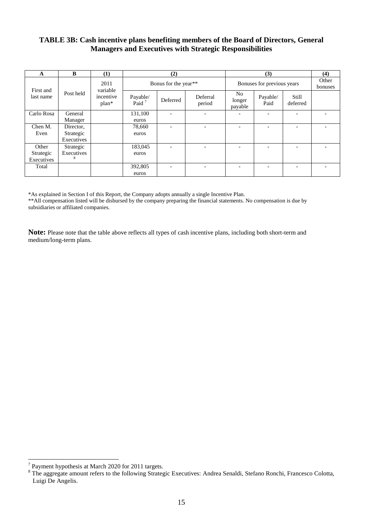#### **TABLE 3B: Cash incentive plans benefiting members of the Board of Directors, General Managers and Executives with Strategic Responsibilities**

| A          | B          | (1)                  | (2)                  |                          |                    |                                     | (3)                      |                          | (4)              |
|------------|------------|----------------------|----------------------|--------------------------|--------------------|-------------------------------------|--------------------------|--------------------------|------------------|
| First and  |            | 2011<br>variable     |                      | Bonus for the year**     |                    | Bonuses for previous years          |                          |                          | Other<br>bonuses |
| last name  | Post held  | incentive<br>$plan*$ | Payable/<br>Paid $7$ | Deferred                 | Deferral<br>period | N <sub>o</sub><br>longer<br>payable | Payable/<br>Paid         | Still<br>deferred        |                  |
| Carlo Rosa | General    |                      | 131,100              | $\overline{\phantom{a}}$ |                    |                                     | $\overline{\phantom{0}}$ | $\overline{\phantom{0}}$ |                  |
|            | Manager    |                      | euros                |                          |                    |                                     |                          |                          |                  |
| Chen M.    | Director,  |                      | 78,660               | $\overline{\phantom{0}}$ |                    |                                     |                          | ۰                        |                  |
| Even       | Strategic  |                      | euros                |                          |                    |                                     |                          |                          |                  |
|            | Executives |                      |                      |                          |                    |                                     |                          |                          |                  |
| Other      | Strategic  |                      | 183,045              | $\overline{\phantom{a}}$ |                    |                                     | $\overline{\phantom{0}}$ | $\overline{\phantom{0}}$ |                  |
| Strategic  | Executives |                      | euros                |                          |                    |                                     |                          |                          |                  |
| Executives |            |                      |                      |                          |                    |                                     |                          |                          |                  |
| Total      |            |                      | 392,805              |                          |                    |                                     |                          |                          |                  |
|            |            |                      | euros                |                          |                    |                                     |                          |                          |                  |

\*As explained in Section I of this Report, the Company adopts annually a single Incentive Plan.

\*\*All compensation listed will be disbursed by the company preparing the financial statements. No compensation is due by subsidiaries or affiliated companies.

**Note:** Please note that the table above reflects all types of cash incentive plans, including both short-term and medium/long-term plans.

 7 Payment hypothesis at March 2020 for 2011 targets.

<sup>&</sup>lt;sup>8</sup> The aggregate amount refers to the following Strategic Executives: Andrea Senaldi, Stefano Ronchi, Francesco Colotta, Luigi De Angelis.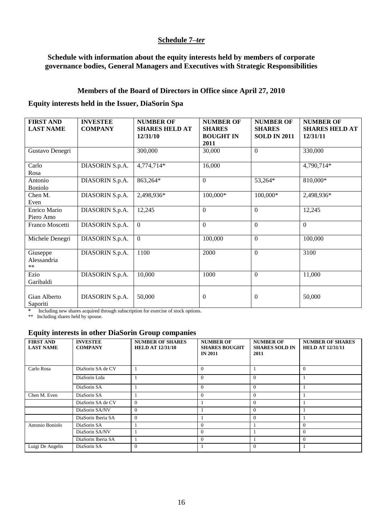#### **Schedule 7–***ter*

#### **Schedule with information about the equity interests held by members of corporate governance bodies, General Managers and Executives with Strategic Responsibilities**

#### **Members of the Board of Directors in Office since April 27, 2010**

### **Equity interests held in the Issuer, DiaSorin Spa**

| <b>FIRST AND</b><br><b>LAST NAME</b> | <b>INVESTEE</b><br><b>COMPANY</b> | <b>NUMBER OF</b><br><b>SHARES HELD AT</b><br>12/31/10 | <b>NUMBER OF</b><br><b>SHARES</b><br><b>BOUGHT IN</b><br>2011 | <b>NUMBER OF</b><br><b>SHARES</b><br><b>SOLD IN 2011</b> | <b>NUMBER OF</b><br><b>SHARES HELD AT</b><br>12/31/11 |
|--------------------------------------|-----------------------------------|-------------------------------------------------------|---------------------------------------------------------------|----------------------------------------------------------|-------------------------------------------------------|
| Gustavo Denegri                      |                                   | 300,000                                               | 30,000                                                        | $\boldsymbol{0}$                                         | 330,000                                               |
| Carlo<br>Rosa                        | DIASORIN S.p.A.                   | 4,774,714*                                            | 16,000                                                        |                                                          | 4,790,714*                                            |
| Antonio<br><b>Boniolo</b>            | DIASORIN S.p.A.                   | 863,264*                                              | $\overline{0}$                                                | 53,264*                                                  | 810,000*                                              |
| Chen M.<br>Even                      | DIASORIN S.p.A.                   | 2,498,936*                                            | 100,000*                                                      | 100,000*                                                 | 2,498,936*                                            |
| Enrico Mario<br>Piero Amo            | DIASORIN S.p.A.                   | 12,245                                                | $\boldsymbol{0}$                                              | $\Omega$                                                 | 12,245                                                |
| Franco Moscetti                      | DIASORIN S.p.A.                   | $\mathbf{0}$                                          | $\Omega$                                                      | $\Omega$                                                 | $\Omega$                                              |
| Michele Denegri                      | DIASORIN S.p.A.                   | $\mathbf{0}$                                          | 100,000                                                       | $\mathbf{0}$                                             | 100,000                                               |
| Giuseppe<br>Alessandria<br>$***$     | DIASORIN S.p.A.                   | 1100                                                  | 2000                                                          | $\boldsymbol{0}$                                         | 3100                                                  |
| Ezio<br>Garibaldi                    | DIASORIN S.p.A.                   | 10,000                                                | 1000                                                          | $\overline{0}$                                           | 11,000                                                |
| Gian Alberto<br>Saporiti             | DIASORIN S.p.A.                   | 50,000                                                | $\overline{0}$                                                | $\mathbf{0}$                                             | 50,000                                                |

**\*** Including new shares acquired through subscription for exercise of stock options.

\*\* Including shares held by spouse.

#### **Equity interests in other DiaSorin Group companies**

| <b>FIRST AND</b><br><b>LAST NAME</b> | <b>INVESTEE</b><br><b>COMPANY</b> | <b>NUMBER OF SHARES</b><br><b>HELD AT 12/31/10</b> | <b>NUMBER OF</b><br><b>SHARES BOUGHT</b><br><b>IN 2011</b> | <b>NUMBER OF</b><br><b>SHARES SOLD IN</b><br>2011 | <b>NUMBER OF SHARES</b><br><b>HELD AT 12/31/11</b> |
|--------------------------------------|-----------------------------------|----------------------------------------------------|------------------------------------------------------------|---------------------------------------------------|----------------------------------------------------|
| Carlo Rosa                           | DiaSorin SA de CV                 |                                                    | $\Omega$                                                   |                                                   | $\Omega$                                           |
|                                      | DiaSorin Ltda                     |                                                    | $\Omega$                                                   | $\Omega$                                          |                                                    |
|                                      | DiaSorin SA                       |                                                    | $\Omega$                                                   | $\Omega$                                          |                                                    |
| Chen M. Even                         | DiaSorin SA                       |                                                    | $\Omega$                                                   | $\Omega$                                          |                                                    |
|                                      | DiaSorin SA de CV                 | $\Omega$                                           |                                                            | 0                                                 |                                                    |
|                                      | DiaSorin SA/NV                    | $\Omega$                                           |                                                            | $\Omega$                                          |                                                    |
|                                      | DiaSorin Iberia SA                | $\Omega$                                           |                                                            | 0                                                 |                                                    |
| Antonio Boniolo                      | DiaSorin SA                       |                                                    | $\Omega$                                                   |                                                   | $\Omega$                                           |
|                                      | DiaSorin SA/NV                    |                                                    | $\Omega$                                                   |                                                   | $\Omega$                                           |
|                                      | DiaSorin Iberia SA                |                                                    | $\Omega$                                                   |                                                   | $\Omega$                                           |
| Luigi De Angelis                     | DiaSorin SA                       | $\Omega$                                           |                                                            | 0                                                 |                                                    |